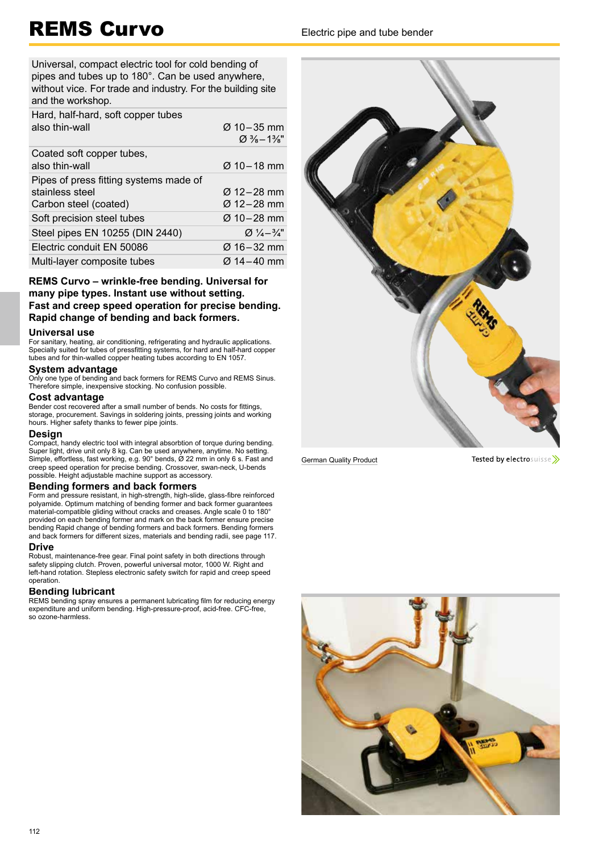# REMS Curvo Electric pipe and tube bender

Universal, compact electric tool for cold bending of pipes and tubes up to 180°. Can be used anywhere, without vice. For trade and industry. For the building site and the workshop.

| Hard, half-hard, soft copper tubes<br>also thin-wall                               | $\varnothing$ 10 – 35 mm<br>$\varnothing$ % – 1%" |
|------------------------------------------------------------------------------------|---------------------------------------------------|
| Coated soft copper tubes,<br>also thin-wall                                        | $Ø$ 10 – 18 mm                                    |
| Pipes of press fitting systems made of<br>stainless steel<br>Carbon steel (coated) | $\varnothing$ 12–28 mm<br>Ø 12–28 mm              |
| Soft precision steel tubes                                                         | Ø 10–28 mm                                        |
| Steel pipes EN 10255 (DIN 2440)                                                    | $Q_1/\sqrt{4}-3/\sqrt{4}$                         |
| Electric conduit EN 50086                                                          | Ø 16–32 mm                                        |
| Multi-layer composite tubes                                                        | Ø 14-40 mm                                        |

## **REMS Curvo – wrinkle-free bending. Universal for many pipe types. Instant use without setting. Fast and creep speed operation for precise bending. Rapid change of bending and back formers.**

### **Universal use**

For sanitary, heating, air conditioning, refrigerating and hydraulic applications. Specially suited for tubes of pressfitting systems, for hard and half-hard copper tubes and for thin-walled copper heating tubes according to EN 1057.

### **System advantage**

Only one type of bending and back formers for REMS Curvo and REMS Sinus. Therefore simple, inexpensive stocking. No confusion possible.

## **Cost advantage**

Bender cost recovered after a small number of bends. No costs for fittings, storage, procurement. Savings in soldering joints, pressing joints and working hours. Higher safety thanks to fewer pipe joints.

## **Design**

Compact, handy electric tool with integral absorbtion of torque during bending. Super light, drive unit only 8 kg. Can be used anywhere, anytime. No setting. Simple, effortless, fast working, e.g. 90° bends, Ø 22 mm in only 6 s. Fast and creep speed operation for precise bending. Crossover, swan-neck, U-bends possible. Height adjustable machine support as accessory.

## **Bending formers and back formers**

Form and pressure resistant, in high-strength, high-slide, glass-fibre reinforced polyamide. Optimum matching of bending former and back former guarantees material-compatible gliding without cracks and creases. Angle scale 0 to 180° provided on each bending former and mark on the back former ensure precise bending Rapid change of bending formers and back formers. Bending formers and back formers for different sizes, materials and bending radii, see page 117.

### **Drive**

Robust, maintenance-free gear. Final point safety in both directions through safety slipping clutch. Proven, powerful universal motor, 1000 W. Right and left-hand rotation. Stepless electronic safety switch for rapid and creep speed operation.

## **Bending lubricant**

REMS bending spray ensures a permanent lubricating film for reducing energy expenditure and uniform bending. High-pressure-proof, acid-free. CFC-free, so ozone-harmless.



German Quality Product

Tested by electrosuisse>>